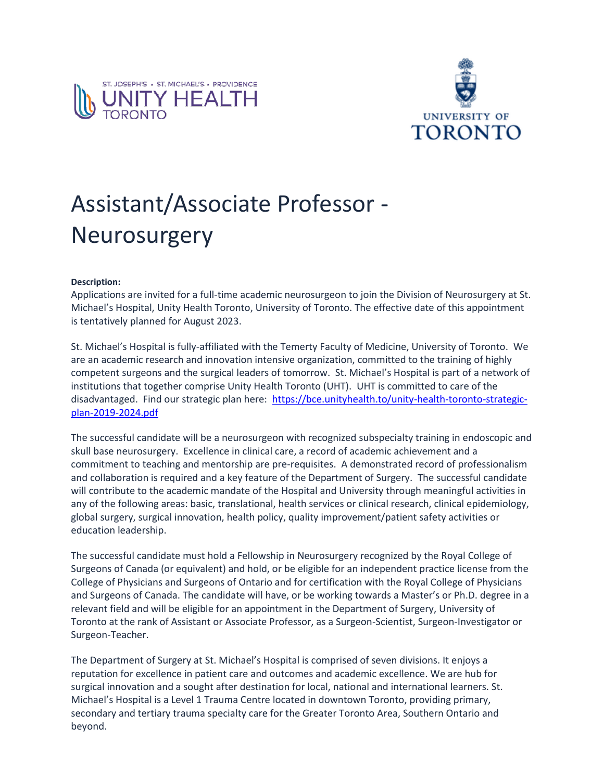



## Assistant/Associate Professor - Neurosurgery

## **Description:**

Applications are invited for a full-time academic neurosurgeon to join the Division of Neurosurgery at St. Michael's Hospital, Unity Health Toronto, University of Toronto. The effective date of this appointment is tentatively planned for August 2023.

St. Michael's Hospital is fully-affiliated with the Temerty Faculty of Medicine, University of Toronto. We are an academic research and innovation intensive organization, committed to the training of highly competent surgeons and the surgical leaders of tomorrow. St. Michael's Hospital is part of a network of institutions that together comprise Unity Health Toronto (UHT). UHT is committed to care of the disadvantaged. Find our strategic plan here: [https://bce.unityhealth.to/unity-health-toronto-strategic](https://bce.unityhealth.to/unity-health-toronto-strategic-plan-2019-2024.pdf)[plan-2019-2024.pdf](https://bce.unityhealth.to/unity-health-toronto-strategic-plan-2019-2024.pdf)

The successful candidate will be a neurosurgeon with recognized subspecialty training in endoscopic and skull base neurosurgery. Excellence in clinical care, a record of academic achievement and a commitment to teaching and mentorship are pre-requisites. A demonstrated record of professionalism and collaboration is required and a key feature of the Department of Surgery. The successful candidate will contribute to the academic mandate of the Hospital and University through meaningful activities in any of the following areas: basic, translational, health services or clinical research, clinical epidemiology, global surgery, surgical innovation, health policy, quality improvement/patient safety activities or education leadership.

The successful candidate must hold a Fellowship in Neurosurgery recognized by the Royal College of Surgeons of Canada (or equivalent) and hold, or be eligible for an independent practice license from the College of Physicians and Surgeons of Ontario and for certification with the Royal College of Physicians and Surgeons of Canada. The candidate will have, or be working towards a Master's or Ph.D. degree in a relevant field and will be eligible for an appointment in the Department of Surgery, University of Toronto at the rank of Assistant or Associate Professor, as a Surgeon-Scientist, Surgeon-Investigator or Surgeon-Teacher.

The Department of Surgery at St. Michael's Hospital is comprised of seven divisions. It enjoys a reputation for excellence in patient care and outcomes and academic excellence. We are hub for surgical innovation and a sought after destination for local, national and international learners. St. Michael's Hospital is a Level 1 Trauma Centre located in downtown Toronto, providing primary, secondary and tertiary trauma specialty care for the Greater Toronto Area, Southern Ontario and beyond.